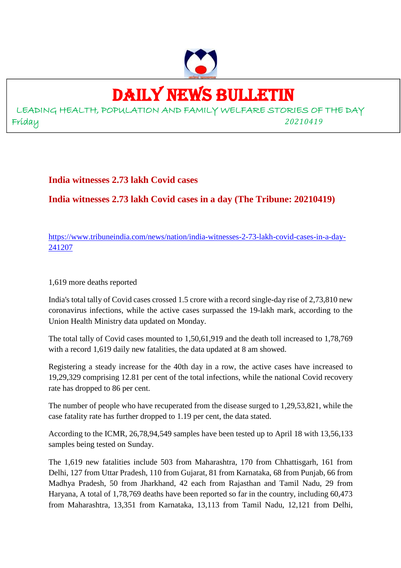

# DAILY NEWS BULLETIN

LEADING HEALTH, POPULATION AND FAMILY WELFARE STORIES OF THE DAY Friday *20210419*

**India witnesses 2.73 lakh Covid cases**

**India witnesses 2.73 lakh Covid cases in a day (The Tribune: 20210419)**

https://www.tribuneindia.com/news/nation/india-witnesses-2-73-lakh-covid-cases-in-a-day-241207

1,619 more deaths reported

India's total tally of Covid cases crossed 1.5 crore with a record single-day rise of 2,73,810 new coronavirus infections, while the active cases surpassed the 19-lakh mark, according to the Union Health Ministry data updated on Monday.

The total tally of Covid cases mounted to 1,50,61,919 and the death toll increased to 1,78,769 with a record 1,619 daily new fatalities, the data updated at 8 am showed.

Registering a steady increase for the 40th day in a row, the active cases have increased to 19,29,329 comprising 12.81 per cent of the total infections, while the national Covid recovery rate has dropped to 86 per cent.

The number of people who have recuperated from the disease surged to 1,29,53,821, while the case fatality rate has further dropped to 1.19 per cent, the data stated.

According to the ICMR, 26,78,94,549 samples have been tested up to April 18 with 13,56,133 samples being tested on Sunday.

The 1,619 new fatalities include 503 from Maharashtra, 170 from Chhattisgarh, 161 from Delhi, 127 from Uttar Pradesh, 110 from Gujarat, 81 from Karnataka, 68 from Punjab, 66 from Madhya Pradesh, 50 from Jharkhand, 42 each from Rajasthan and Tamil Nadu, 29 from Haryana, A total of 1,78,769 deaths have been reported so far in the country, including 60,473 from Maharashtra, 13,351 from Karnataka, 13,113 from Tamil Nadu, 12,121 from Delhi,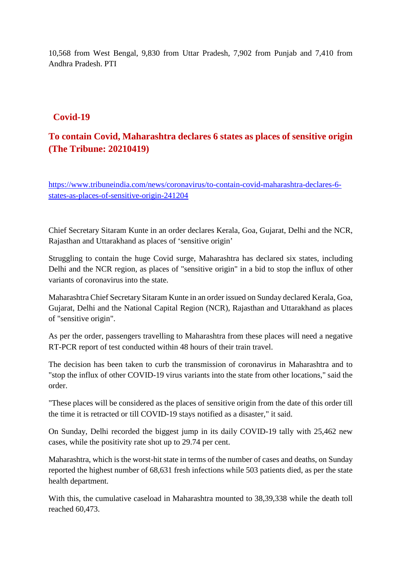10,568 from West Bengal, 9,830 from Uttar Pradesh, 7,902 from Punjab and 7,410 from Andhra Pradesh. PTI

# **Covid-19**

# **To contain Covid, Maharashtra declares 6 states as places of sensitive origin (The Tribune: 20210419)**

https://www.tribuneindia.com/news/coronavirus/to-contain-covid-maharashtra-declares-6 states-as-places-of-sensitive-origin-241204

Chief Secretary Sitaram Kunte in an order declares Kerala, Goa, Gujarat, Delhi and the NCR, Rajasthan and Uttarakhand as places of 'sensitive origin'

Struggling to contain the huge Covid surge, Maharashtra has declared six states, including Delhi and the NCR region, as places of "sensitive origin" in a bid to stop the influx of other variants of coronavirus into the state.

Maharashtra Chief Secretary Sitaram Kunte in an order issued on Sunday declared Kerala, Goa, Gujarat, Delhi and the National Capital Region (NCR), Rajasthan and Uttarakhand as places of "sensitive origin".

As per the order, passengers travelling to Maharashtra from these places will need a negative RT-PCR report of test conducted within 48 hours of their train travel.

The decision has been taken to curb the transmission of coronavirus in Maharashtra and to "stop the influx of other COVID-19 virus variants into the state from other locations," said the order.

"These places will be considered as the places of sensitive origin from the date of this order till the time it is retracted or till COVID-19 stays notified as a disaster," it said.

On Sunday, Delhi recorded the biggest jump in its daily COVID-19 tally with 25,462 new cases, while the positivity rate shot up to 29.74 per cent.

Maharashtra, which is the worst-hit state in terms of the number of cases and deaths, on Sunday reported the highest number of 68,631 fresh infections while 503 patients died, as per the state health department.

With this, the cumulative caseload in Maharashtra mounted to 38,39,338 while the death toll reached 60,473.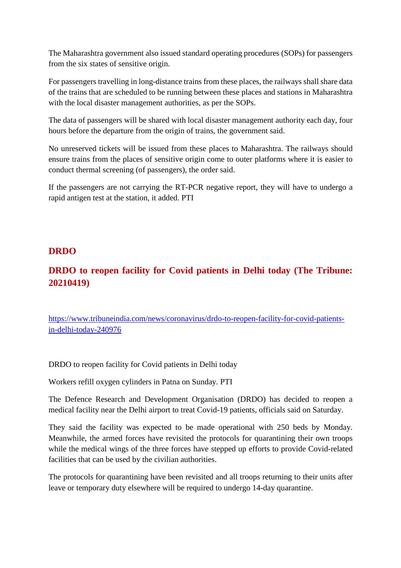The Maharashtra government also issued standard operating procedures (SOPs) for passengers from the six states of sensitive origin.

For passengers travelling in long-distance trains from these places, the railways shall share data of the trains that are scheduled to be running between these places and stations in Maharashtra with the local disaster management authorities, as per the SOPs.

The data of passengers will be shared with local disaster management authority each day, four hours before the departure from the origin of trains, the government said.

No unreserved tickets will be issued from these places to Maharashtra. The railways should ensure trains from the places of sensitive origin come to outer platforms where it is easier to conduct thermal screening (of passengers), the order said.

If the passengers are not carrying the RT-PCR negative report, they will have to undergo a rapid antigen test at the station, it added. PTI

# **DRDO**

# **DRDO to reopen facility for Covid patients in Delhi today (The Tribune: 20210419)**

https://www.tribuneindia.com/news/coronavirus/drdo-to-reopen-facility-for-covid-patientsin-delhi-today-240976

DRDO to reopen facility for Covid patients in Delhi today

Workers refill oxygen cylinders in Patna on Sunday. PTI

The Defence Research and Development Organisation (DRDO) has decided to reopen a medical facility near the Delhi airport to treat Covid-19 patients, officials said on Saturday.

They said the facility was expected to be made operational with 250 beds by Monday. Meanwhile, the armed forces have revisited the protocols for quarantining their own troops while the medical wings of the three forces have stepped up efforts to provide Covid-related facilities that can be used by the civilian authorities.

The protocols for quarantining have been revisited and all troops returning to their units after leave or temporary duty elsewhere will be required to undergo 14-day quarantine.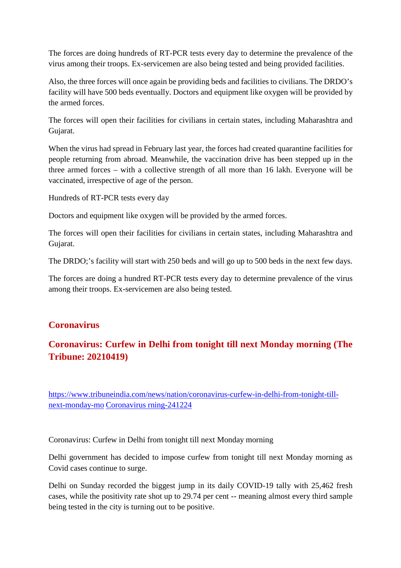The forces are doing hundreds of RT-PCR tests every day to determine the prevalence of the virus among their troops. Ex-servicemen are also being tested and being provided facilities.

Also, the three forces will once again be providing beds and facilities to civilians. The DRDO's facility will have 500 beds eventually. Doctors and equipment like oxygen will be provided by the armed forces.

The forces will open their facilities for civilians in certain states, including Maharashtra and Gujarat.

When the virus had spread in February last year, the forces had created quarantine facilities for people returning from abroad. Meanwhile, the vaccination drive has been stepped up in the three armed forces – with a collective strength of all more than 16 lakh. Everyone will be vaccinated, irrespective of age of the person.

Hundreds of RT-PCR tests every day

Doctors and equipment like oxygen will be provided by the armed forces.

The forces will open their facilities for civilians in certain states, including Maharashtra and Gujarat.

The DRDO;'s facility will start with 250 beds and will go up to 500 beds in the next few days.

The forces are doing a hundred RT-PCR tests every day to determine prevalence of the virus among their troops. Ex-servicemen are also being tested.

# **Coronavirus**

# **Coronavirus: Curfew in Delhi from tonight till next Monday morning (The Tribune: 20210419)**

https://www.tribuneindia.com/news/nation/coronavirus-curfew-in-delhi-from-tonight-tillnext-monday-mo Coronavirus rning-241224

Coronavirus: Curfew in Delhi from tonight till next Monday morning

Delhi government has decided to impose curfew from tonight till next Monday morning as Covid cases continue to surge.

Delhi on Sunday recorded the biggest jump in its daily COVID-19 tally with 25,462 fresh cases, while the positivity rate shot up to 29.74 per cent -- meaning almost every third sample being tested in the city is turning out to be positive.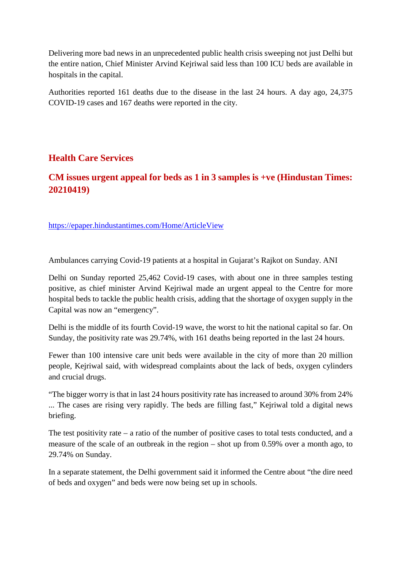Delivering more bad news in an unprecedented public health crisis sweeping not just Delhi but the entire nation, Chief Minister Arvind Kejriwal said less than 100 ICU beds are available in hospitals in the capital.

Authorities reported 161 deaths due to the disease in the last 24 hours. A day ago, 24,375 COVID-19 cases and 167 deaths were reported in the city.

# **Health Care Services**

# **CM issues urgent appeal for beds as 1 in 3 samples is +ve (Hindustan Times: 20210419)**

https://epaper.hindustantimes.com/Home/ArticleView

Ambulances carrying Covid-19 patients at a hospital in Gujarat's Rajkot on Sunday. ANI

Delhi on Sunday reported 25,462 Covid-19 cases, with about one in three samples testing positive, as chief minister Arvind Kejriwal made an urgent appeal to the Centre for more hospital beds to tackle the public health crisis, adding that the shortage of oxygen supply in the Capital was now an "emergency".

Delhi is the middle of its fourth Covid-19 wave, the worst to hit the national capital so far. On Sunday, the positivity rate was 29.74%, with 161 deaths being reported in the last 24 hours.

Fewer than 100 intensive care unit beds were available in the city of more than 20 million people, Kejriwal said, with widespread complaints about the lack of beds, oxygen cylinders and crucial drugs.

"The bigger worry is that in last 24 hours positivity rate has increased to around 30% from 24% ... The cases are rising very rapidly. The beds are filling fast," Kejriwal told a digital news briefing.

The test positivity rate  $-$  a ratio of the number of positive cases to total tests conducted, and a measure of the scale of an outbreak in the region – shot up from 0.59% over a month ago, to 29.74% on Sunday.

In a separate statement, the Delhi government said it informed the Centre about "the dire need of beds and oxygen" and beds were now being set up in schools.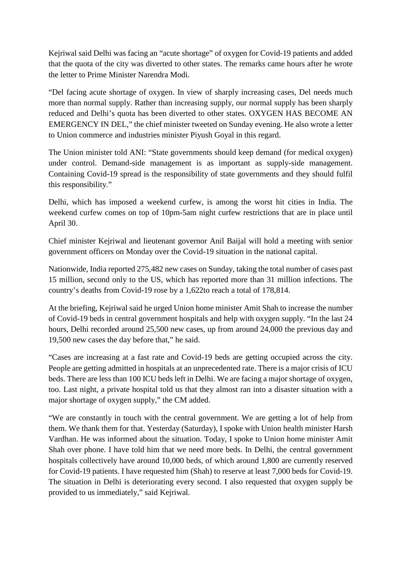Kejriwal said Delhi was facing an "acute shortage" of oxygen for Covid-19 patients and added that the quota of the city was diverted to other states. The remarks came hours after he wrote the letter to Prime Minister Narendra Modi.

"Del facing acute shortage of oxygen. In view of sharply increasing cases, Del needs much more than normal supply. Rather than increasing supply, our normal supply has been sharply reduced and Delhi's quota has been diverted to other states. OXYGEN HAS BECOME AN EMERGENCY IN DEL," the chief minister tweeted on Sunday evening. He also wrote a letter to Union commerce and industries minister Piyush Goyal in this regard.

The Union minister told ANI: "State governments should keep demand (for medical oxygen) under control. Demand-side management is as important as supply-side management. Containing Covid-19 spread is the responsibility of state governments and they should fulfil this responsibility."

Delhi, which has imposed a weekend curfew, is among the worst hit cities in India. The weekend curfew comes on top of 10pm-5am night curfew restrictions that are in place until April 30.

Chief minister Kejriwal and lieutenant governor Anil Baijal will hold a meeting with senior government officers on Monday over the Covid-19 situation in the national capital.

Nationwide, India reported 275,482 new cases on Sunday, taking the total number of cases past 15 million, second only to the US, which has reported more than 31 million infections. The country's deaths from Covid-19 rose by a 1,622to reach a total of 178,814.

At the briefing, Kejriwal said he urged Union home minister Amit Shah to increase the number of Covid-19 beds in central government hospitals and help with oxygen supply. "In the last 24 hours, Delhi recorded around 25,500 new cases, up from around 24,000 the previous day and 19,500 new cases the day before that," he said.

"Cases are increasing at a fast rate and Covid-19 beds are getting occupied across the city. People are getting admitted in hospitals at an unprecedented rate. There is a major crisis of ICU beds. There are less than 100 ICU beds left in Delhi. We are facing a major shortage of oxygen, too. Last night, a private hospital told us that they almost ran into a disaster situation with a major shortage of oxygen supply," the CM added.

"We are constantly in touch with the central government. We are getting a lot of help from them. We thank them for that. Yesterday (Saturday), I spoke with Union health minister Harsh Vardhan. He was informed about the situation. Today, I spoke to Union home minister Amit Shah over phone. I have told him that we need more beds. In Delhi, the central government hospitals collectively have around 10,000 beds, of which around 1,800 are currently reserved for Covid-19 patients. I have requested him (Shah) to reserve at least 7,000 beds for Covid-19. The situation in Delhi is deteriorating every second. I also requested that oxygen supply be provided to us immediately," said Kejriwal.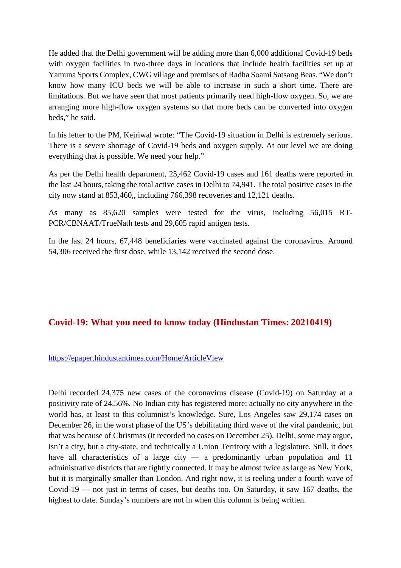He added that the Delhi government will be adding more than 6,000 additional Covid-19 beds with oxygen facilities in two-three days in locations that include health facilities set up at Yamuna Sports Complex, CWG village and premises of Radha Soami Satsang Beas. "We don't know how many ICU beds we will be able to increase in such a short time. There are limitations. But we have seen that most patients primarily need high-flow oxygen. So, we are arranging more high-flow oxygen systems so that more beds can be converted into oxygen beds," he said.

In his letter to the PM, Kejriwal wrote: "The Covid-19 situation in Delhi is extremely serious. There is a severe shortage of Covid-19 beds and oxygen supply. At our level we are doing everything that is possible. We need your help."

As per the Delhi health department, 25,462 Covid-19 cases and 161 deaths were reported in the last 24 hours, taking the total active cases in Delhi to 74,941. The total positive cases in the city now stand at 853,460,, including 766,398 recoveries and 12,121 deaths.

As many as 85,620 samples were tested for the virus, including 56,015 RT-PCR/CBNAAT/TrueNath tests and 29,605 rapid antigen tests.

In the last 24 hours, 67,448 beneficiaries were vaccinated against the coronavirus. Around 54,306 received the first dose, while 13,142 received the second dose.

# **Covid-19: What you need to know today (Hindustan Times: 20210419)**

#### https://epaper.hindustantimes.com/Home/ArticleView

Delhi recorded 24,375 new cases of the coronavirus disease (Covid-19) on Saturday at a positivity rate of 24.56%. No Indian city has registered more; actually no city anywhere in the world has, at least to this columnist's knowledge. Sure, Los Angeles saw 29,174 cases on December 26, in the worst phase of the US's debilitating third wave of the viral pandemic, but that was because of Christmas (it recorded no cases on December 25). Delhi, some may argue, isn't a city, but a city-state, and technically a Union Territory with a legislature. Still, it does have all characteristics of a large city — a predominantly urban population and 11 administrative districts that are tightly connected. It may be almost twice as large as New York, but it is marginally smaller than London. And right now, it is reeling under a fourth wave of Covid-19 — not just in terms of cases, but deaths too. On Saturday, it saw 167 deaths, the highest to date. Sunday's numbers are not in when this column is being written.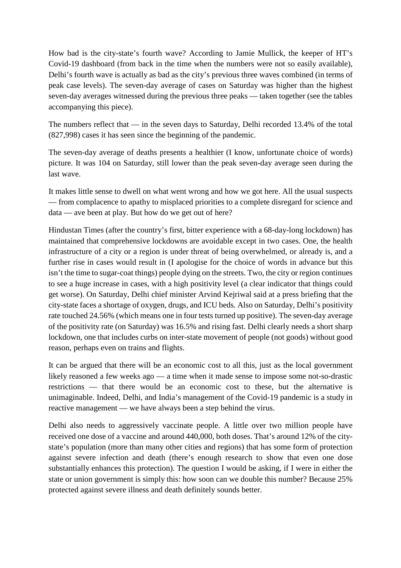How bad is the city-state's fourth wave? According to Jamie Mullick, the keeper of HT's Covid-19 dashboard (from back in the time when the numbers were not so easily available), Delhi's fourth wave is actually as bad as the city's previous three waves combined (in terms of peak case levels). The seven-day average of cases on Saturday was higher than the highest seven-day averages witnessed during the previous three peaks — taken together (see the tables accompanying this piece).

The numbers reflect that — in the seven days to Saturday, Delhi recorded 13.4% of the total (827,998) cases it has seen since the beginning of the pandemic.

The seven-day average of deaths presents a healthier (I know, unfortunate choice of words) picture. It was 104 on Saturday, still lower than the peak seven-day average seen during the last wave.

It makes little sense to dwell on what went wrong and how we got here. All the usual suspects — from complacence to apathy to misplaced priorities to a complete disregard for science and data — ave been at play. But how do we get out of here?

Hindustan Times (after the country's first, bitter experience with a 68-day-long lockdown) has maintained that comprehensive lockdowns are avoidable except in two cases. One, the health infrastructure of a city or a region is under threat of being overwhelmed, or already is, and a further rise in cases would result in (I apologise for the choice of words in advance but this isn't the time to sugar-coat things) people dying on the streets. Two, the city or region continues to see a huge increase in cases, with a high positivity level (a clear indicator that things could get worse). On Saturday, Delhi chief minister Arvind Kejriwal said at a press briefing that the city-state faces a shortage of oxygen, drugs, and ICU beds. Also on Saturday, Delhi's positivity rate touched 24.56% (which means one in four tests turned up positive). The seven-day average of the positivity rate (on Saturday) was 16.5% and rising fast. Delhi clearly needs a short sharp lockdown, one that includes curbs on inter-state movement of people (not goods) without good reason, perhaps even on trains and flights.

It can be argued that there will be an economic cost to all this, just as the local government likely reasoned a few weeks ago — a time when it made sense to impose some not-so-drastic restrictions — that there would be an economic cost to these, but the alternative is unimaginable. Indeed, Delhi, and India's management of the Covid-19 pandemic is a study in reactive management — we have always been a step behind the virus.

Delhi also needs to aggressively vaccinate people. A little over two million people have received one dose of a vaccine and around 440,000, both doses. That's around 12% of the citystate's population (more than many other cities and regions) that has some form of protection against severe infection and death (there's enough research to show that even one dose substantially enhances this protection). The question I would be asking, if I were in either the state or union government is simply this: how soon can we double this number? Because 25% protected against severe illness and death definitely sounds better.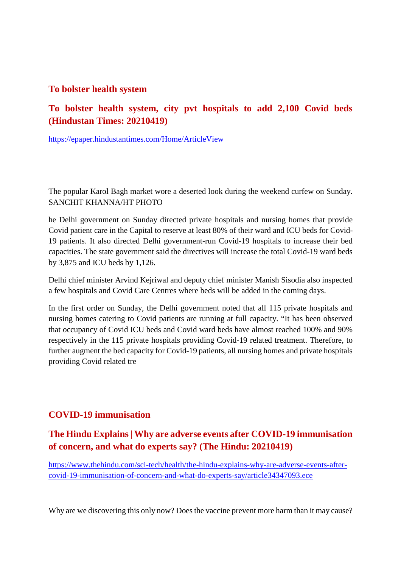#### **To bolster health system**

# **To bolster health system, city pvt hospitals to add 2,100 Covid beds (Hindustan Times: 20210419)**

https://epaper.hindustantimes.com/Home/ArticleView

The popular Karol Bagh market wore a deserted look during the weekend curfew on Sunday. SANCHIT KHANNA/HT PHOTO

he Delhi government on Sunday directed private hospitals and nursing homes that provide Covid patient care in the Capital to reserve at least 80% of their ward and ICU beds for Covid-19 patients. It also directed Delhi government-run Covid-19 hospitals to increase their bed capacities. The state government said the directives will increase the total Covid-19 ward beds by 3,875 and ICU beds by 1,126.

Delhi chief minister Arvind Kejriwal and deputy chief minister Manish Sisodia also inspected a few hospitals and Covid Care Centres where beds will be added in the coming days.

In the first order on Sunday, the Delhi government noted that all 115 private hospitals and nursing homes catering to Covid patients are running at full capacity. "It has been observed that occupancy of Covid ICU beds and Covid ward beds have almost reached 100% and 90% respectively in the 115 private hospitals providing Covid-19 related treatment. Therefore, to further augment the bed capacity for Covid-19 patients, all nursing homes and private hospitals providing Covid related tre

# **COVID-19 immunisation**

# **The Hindu Explains | Why are adverse events after COVID-19 immunisation of concern, and what do experts say? (The Hindu: 20210419)**

https://www.thehindu.com/sci-tech/health/the-hindu-explains-why-are-adverse-events-aftercovid-19-immunisation-of-concern-and-what-do-experts-say/article34347093.ece

Why are we discovering this only now? Does the vaccine prevent more harm than it may cause?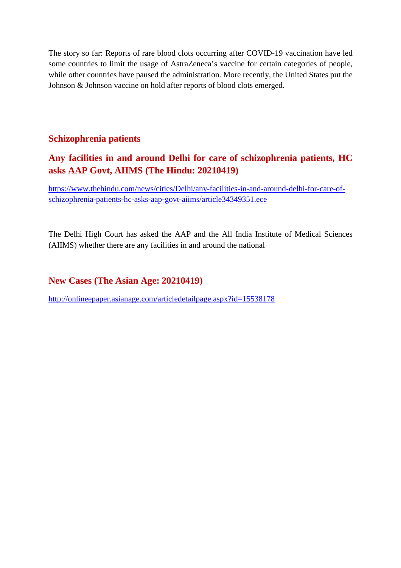The story so far: Reports of rare blood clots occurring after COVID-19 vaccination have led some countries to limit the usage of AstraZeneca's vaccine for certain categories of people, while other countries have paused the administration. More recently, the United States put the Johnson & Johnson vaccine on hold after reports of blood clots emerged.

### **Schizophrenia patients**

# **Any facilities in and around Delhi for care of schizophrenia patients, HC asks AAP Govt, AIIMS (The Hindu: 20210419)**

https://www.thehindu.com/news/cities/Delhi/any-facilities-in-and-around-delhi-for-care-ofschizophrenia-patients-hc-asks-aap-govt-aiims/article34349351.ece

The Delhi High Court has asked the AAP and the All India Institute of Medical Sciences (AIIMS) whether there are any facilities in and around the national

### **New Cases (The Asian Age: 20210419)**

http://onlineepaper.asianage.com/articledetailpage.aspx?id=15538178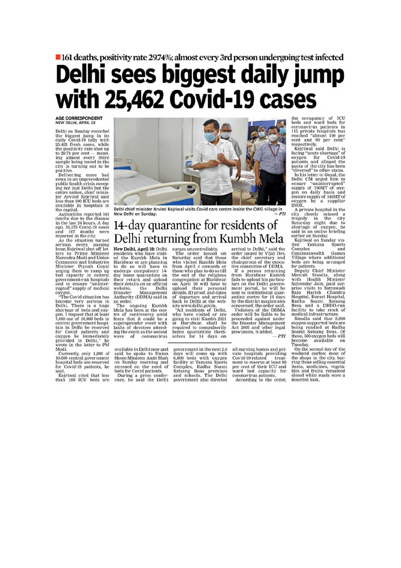# lacktriangleright 161 deaths, positivity rate 29.74%; almost every 3rd person undergoing test infected Delhi sees biggest daily jump with 25,462 Covid-19 cases

**AGE CORRESPONDENT** NEW DELHI, APRIL 18

Delhi on Sunday recorded the biggest jump in its<br>daily Covid-19 tally with<br>25,462 fresh cases, while  $25,462$  fresh cases, while<br>the positivity rate shot up<br>to  $29.74$  per cent — mean-<br>ing almost every third<br>sample being tested in the<br>city is turning out to be<br>positive.<br>Delivering more bad

news in an unprecedented<br>public health crisis sweeping not just Delhi but the entire nation, chief minis-<br>ter Arvind Kejriwal said<br>less than 100 ICU beds are available in hospitals in

the capital.<br>
Authorities reported 161<br>
deaths due to the disease

deaths due to the disease<br>in the last 24 hours. A day<br>ago, 24,375 Covid-19 cases<br>and 167 deaths were<br>reported in the city.<br>As the situation turned<br>serious every passing<br>hour, Keipriwal shot off let-<br>ters to Prime Minister<br> Commerce and Industries<br>Minister Piyush Goyal<br>urging them to ramp up<br>bed capacity in central government-run hospitals<br>and to ensure "uninter-<br>rupted" supply of medical

oxygen.<br>
"The Covid situation has<br>
become very serious in<br>
Delhi. There is a huge shortage of beds and oxygen. I request that at least<br>7,000 out of 10,000 beds in 7,000 out of 10,000 beas in<br>central government hospitals in Delhi be reserved<br>for Covid patients and<br>oxygen be immediately<br>provided in Delhi," he<br>wrote in the letter to PM Modi.

Noon.<br>Currently, only 1,800 of<br>10,000 central government<br>hospital beds are reserved<br>for Covid-19 patients, he<br>cid said.

said.<br>Kejriwal cited that less<br>than 100 ICU beds are



Delhi chief minister Arvind Kejriwal visits Covid care centre inside the CWG village in  $_{DTI}$ New Delhi on Sunday

# 14-day quarantine for residents of Delhi returning from Kumbh Mela

New Delhi, April 18: Delhi<br>residents who have visited the Kumbh Mela in<br>Haridwar or are planning<br>to do so will have to<br>undergo compulsory 14day home quarantine on their return and upload<br>their return and upload<br>their details on an official<br>website, the Delhi<br>Disaster Management Authority (DDMA) said in an order.

an order.<br>The ongoing Kumbh<br>Mela has been at the cen-<br>tre of controversy amid<br>fears that it could be a<br>superspreader event with<br>lakhs of devotees attending the event as the second  $\alpha$ f coronavirus wave

available in Delhi now and said he spoke to Union<br>Home Minister Amit Shah on Sunday morning and of stressed on the need of<br>beds for Covid patients.<br>During a press conference, he said the Delhi

**IT UTILE IT UTILE AS**<br>
surges uncontrollably,<br>
The order issued on<br>
Saturday said that those<br>
who visited Kumbh Mela<br>
the end of the religious<br>
the end of the religious<br>
congregation at Haridwar<br>
on April 30 will have to<br>

back to Delhi at the web-<br>sack to Delhi, "All residents of Delhi, who have visited or are<br>going to visit Kumbh 2021<br>at Haridwar, shall be required to compusority<br>home quarantine them-<br>home quarantine them-<br>selves for 14 da

government in the next 2-3 government in the next 2-3<br>days will come up with<br>6,000 beds with oxygen<br>facility at Yamuna Sports<br>Complex, Radha Soami<br>Satsang Beas premises<br>and schools. The Delhi<br>government also directed

**ATTIOTT TVICTA**<br>arrival to Delhi," said the<br>order issued by Vijay Dev,<br>the chief secretary and<br>three of DDMA.<br>If a person returning<br>from Haridwar Kumbh<br>from Haridwar Kumbh<br>and fails to upload his particulars<br>son the Delhi

by the district magistrates<br>concerned, the order said.<br>Violators of the DDMA<br>order will be liable to be<br>proceeded against under<br>the Disaster Management<br>Act 2005 and other legal<br>provisions, it added.  $-PTI$  the occupancy of ICU<br>beds and ward beds for<br>coronavirus patients in<br>115 private hospitals has<br>115 private hospitals has<br>reached "almost 100 per<br>respectively.<br>Facing "acute shortage" of<br>respectively.<br>Kejriwal said Delhi is<br>

In this setter to Goya, the<br>Delhi CM urged him to<br>ensure "uninterrupted"<br>supply of 700MT of oxy-<br>gen on daily basis and<br>restore supply of 140MT of<br>NXX<br>NXX,

INOX.<br>
A private hospital in the<br>
city closely missed a<br>
tragedy in the city<br>
Saturday night due to<br>
shortage of oxygen, he<br>
said in an online briefing Saud in an ontal<br>earlier on Sunday<br>Kejriwal on Sunday vis-<br>ited Yamuna Sports

ited Ya<br>Complex and and<br>Commonwealth Games<br>Village where additional<br>beds are being arranged

beas are being arranged<br>for patients.<br>The puty Chief Minister<br>Manish Sisodia, along<br>with Health Minister<br>prise visits to Satyawadi<br>Raja Harish Chandra<br>Raja Harish Chandra prise visits to Satyawad<br>Raja Harish Chandra<br>Hospital, Burari Hospital,<br>Radha Soami Satsang<br>Beas and a DRDO-run<br>facility to take stock of<br>medical infrastructure.<br>Sisodia said that 5,000<br>woodla said that 5,000

oxygen-supported beds are<br>being readied at Radha<br>Soami Satsang Beas. Of these, 500 oxygen beds will become<br>Tuesday. available

Tuesday.<br>On the second day of the<br>weekend curfew, most of<br>the shops in the city, bar-<br>ring those selling essential items, medicines, vegeta-<br>bles and fruits, remained<br>closed while roads wore a deserted look.

all nursing homes and prian nursing homes and private hospitals providing<br>Covid-19-related treat-<br>ment to reserve at least 80 per cent of their ICU and<br>ward bed capacity for<br>coronavirus patients.

According to the order.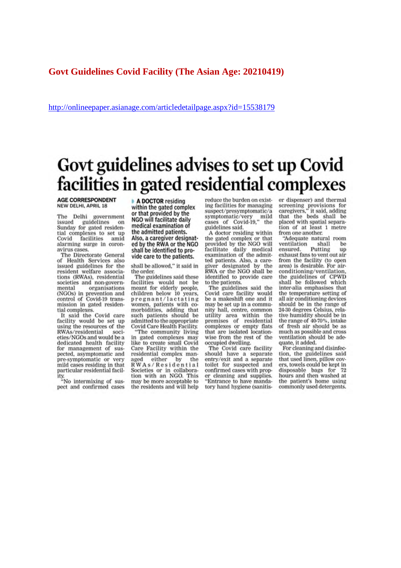#### **Govt Guidelines Covid Facility (The Asian Age: 20210419)**

http://onlineepaper.asianage.com/articledetailpage.aspx?id=15538179

# Govt guidelines advises to set up Covid facilities in gated residential complexes

#### **AGE CORRESPONDENT NEW DELHI, APRIL 18**

thi government<br>guidelines on Delhi The issued Sunday for gated residential complexes to set up<br>Covid facilities amid alarming surge in coronavirus cases.

The Directorate General of Health Services also issued guidelines for the resident welfare associaresident wentie associa-<br>tions (RWAs), residential<br>societies and non-governmental organisations (NGOs) in prevention and control of Covid-19 transmission in gated residential complexes.

It said the Covid care facility would be set up using the resources of the RWAs/residential societies/NGOs and would be a dedicated health facility for management of suspected, asymptomatic and pre-symptomatic or very mild cases residing in that particular residential facil-

ity.<br>"No intermixing of suspect and confirmed cases A DOCTOR residing within the gated complex or that provided by the NGO will facilitate daily medical examination of the admitted patients. Also, a caregiver designated by the RWA or the NGO shall be identified to provide care to the patients.

shall be allowed," it said in the order.

The guidelines said these facilities would not be<br>meant for elderly people,<br>children below 10 years, pregnant/lactating women, patients with comorbidities, adding that such patients should be admitted to the appropriate Covid Care Health Facility. The community living

in gated complexes may like to create small Covid Care Facility within the residential complex manresident in the age of  $RWA \s B \r B \r B \r B \r B \r B \r B \r B \r B \r C \r D$ <br>RWAs / Residential Societies or in collabora-<br>tion with an NGO. This may be more acceptable to the residents and will help

reduce the burden on existing facilities for managing suspect/presymptomatic/a symptomatic/very mild<br>cases of Covid-19," the guidelines said.

A doctor residing within the gated complex or that provided by the NGO will facilitate daily medical examination of the admitted patients. Also, a caregiver designated by the<br>RWA or the NGO shall be identified to provide care to the patients.

The guidelines said the Covid care facility would be a makeshift one and it may be set up in a community hall, centre, common utility area within the<br>premises of residential complexes or empty flats<br>that are isolated locationwise from the rest of the occupied dwelling.

The Covid care facility should have a separate entry/exit and a separate toilet for suspected and confirmed cases with proper cleaning and supplies. 'Entrance to have mandatory hand hygiene (sanitiser dispenser) and thermal screening provisions for<br>caregivers," it said, adding it said, adding that the beds shall be placed with spatial separation of at least 1 metre from one another:

"Adequate natural room ventilation shall be Putting ensured. up exhaust fans to vent out air from the facility (to open area) is desirable. For airconditioning/ventilation. the guidelines of CPWD<br>shall be followed which inter-alia emphasises that the temperature setting of all air conditioning devices should be in the range of 24-30 degrees Celsius, relative humidity should be in the range of 40-70%, intake of fresh air should be as much as possible and cross ventilation should be adequate, it added.

For cleaning and disinfection, the guidelines said that used linen, pillow covers, towels could be kept in disposable bags for 72 hours and then washed at the patient's home using commonly used detergents.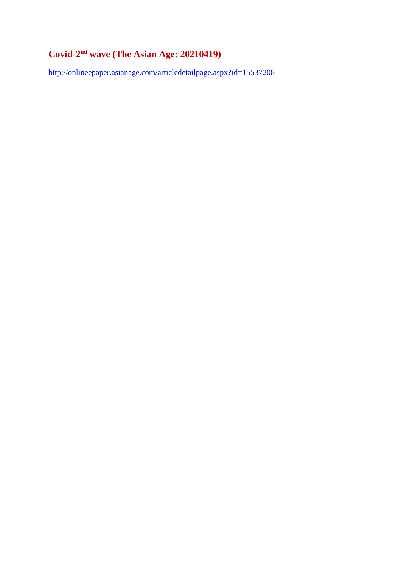# **Covid-2nd wave (The Asian Age: 20210419)**

http://onlineepaper.asianage.com/articledetailpage.aspx?id=15537208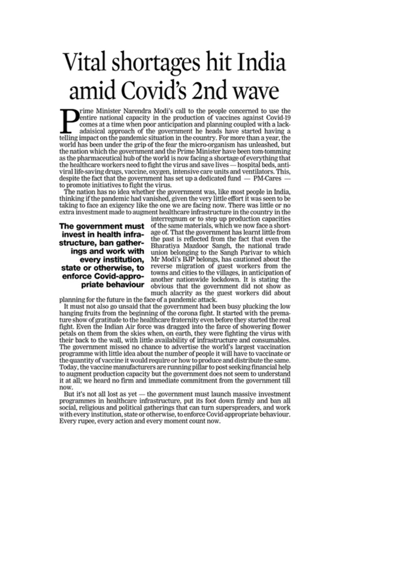# Vital shortages hit India amid Covid's 2nd wave

rime Minister Narendra Modi's call to the people concerned to use the entire national capacity in the production of vaccines against Covid-19 comes at a time when poor anticipation and planning coupled with a lackadaisical approach of the government he heads have started having a telling impact on the pandemic situation in the country. For more than a year, the world has been under the grip of the fear the micro-organism has unleashed, but the nation which the government and the Prime Minister have been tom-tomming as the pharmaceutical hub of the world is now facing a shortage of everything that the healthcare workers need to fight the virus and save lives - hospital beds, antiviral life-saving drugs, vaccine, oxygen, intensive care units and ventilators. This, despite the fact that the government has set up a dedicated fund – PM-Cares – to promote initiatives to fight the virus.

The nation has no idea whether the government was, like most people in India, thinking if the pandemic had vanished, given the very little effort it was seen to be taking to face an exigency like the one we are facing now. There was little or no extra investment made to augment healthcare infrastructure in the country in the

The government must invest in health infrastructure, ban gatherings and work with every institution, state or otherwise, to enforce Covid-appropriate behaviour

interregnum or to step up production capacities of the same materials, which we now face a shortage of. That the government has learnt little from the past is reflected from the fact that even the Bharatiya Mazdoor Sangh, the national trade union belonging to the Sangh Parivar to which Mr Modi's BJP belongs, has cautioned about the reverse migration of guest workers from the towns and cities to the villages, in anticipation of another nationwide lockdown. It is stating the obvious that the government did not show as much alacrity as the guest workers did about

planning for the future in the face of a pandemic attack.

It must not also go unsaid that the government had been busy plucking the low hanging fruits from the beginning of the corona fight. It started with the premature show of gratitude to the healthcare fraternity even before they started the real fight. Even the Indian Air force was dragged into the farce of showering flower petals on them from the skies when, on earth, they were fighting the virus with their back to the wall, with little availability of infrastructure and consumables. The government missed no chance to advertise the world's largest vaccination programme with little idea about the number of people it will have to vaccinate or the quantity of vaccine it would require or how to produce and distribute the same. Today, the vaccine manufacturers are running pillar to post seeking financial help to augment production capacity but the government does not seem to understand it at all; we heard no firm and immediate commitment from the government till now.

But it's not all lost as yet — the government must launch massive investment programmes in healthcare infrastructure, put its foot down firmly and ban all social, religious and political gatherings that can turn superspreaders, and work with every institution, state or otherwise, to enforce Covid-appropriate behaviour. Every rupee, every action and every moment count now.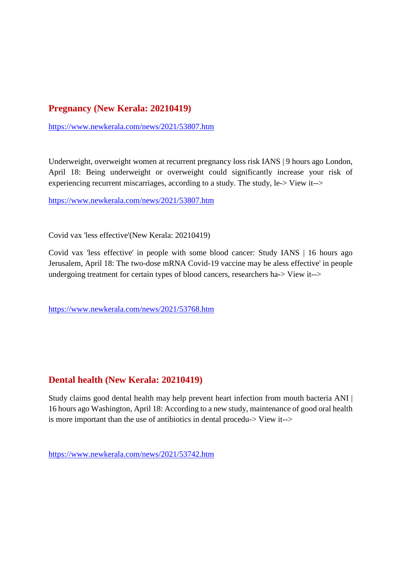# **Pregnancy (New Kerala: 20210419)**

https://www.newkerala.com/news/2021/53807.htm

Underweight, overweight women at recurrent pregnancy loss risk IANS | 9 hours ago London, April 18: Being underweight or overweight could significantly increase your risk of experiencing recurrent miscarriages, according to a study. The study, le-> View it-->

https://www.newkerala.com/news/2021/53807.htm

Covid vax 'less effective'(New Kerala: 20210419)

Covid vax 'less effective' in people with some blood cancer: Study IANS | 16 hours ago Jerusalem, April 18: The two-dose mRNA Covid-19 vaccine may be aless effective' in people undergoing treatment for certain types of blood cancers, researchers ha-> View it-->

https://www.newkerala.com/news/2021/53768.htm

#### **Dental health (New Kerala: 20210419)**

Study claims good dental health may help prevent heart infection from mouth bacteria ANI | 16 hours ago Washington, April 18: According to a new study, maintenance of good oral health is more important than the use of antibiotics in dental procedu-> View it-->

https://www.newkerala.com/news/2021/53742.htm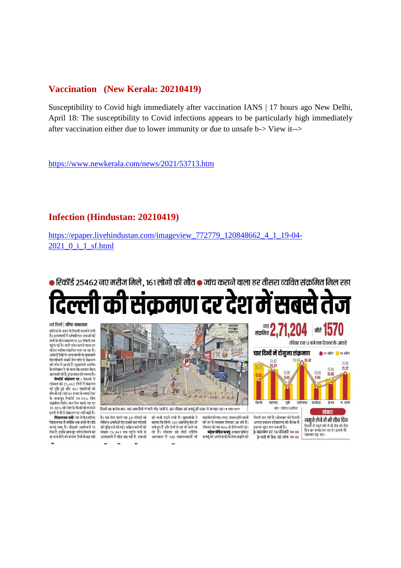#### **Vaccination (New Kerala: 20210419)**

Susceptibility to Covid high immediately after vaccination IANS | 17 hours ago New Delhi, April 18: The susceptibility to Covid infections appears to be particularly high immediately after vaccination either due to lower immunity or due to unsafe b-> View it-->

https://www.newkerala.com/news/2021/53713.htm

#### **Infection (Hindustan: 20210419)**

https://epaper.livehindustan.com/imageview\_772779\_120848662\_4\_1\_19-04- 2021\_0\_i\_1\_sf.html

● रिकॉर्ड 25462 नए मरीज मिले, 161 लोगों की मौत ● जांच कराने वाला हर तीसरा व्यक्ति संक्रमित मिल रहा

# ो की संक्रमण दर देश में सबसे तेज

#### नई दिल्ली | वरिष्ट संवाददाता

-<br>कोरोना के कहर से दिल्ली कराहने लगी<br>है। अस्पतालों में ऑक्सीजन-दवाओं की कमी के बीच संक्रमण दर 30 फीसदी तक पहुंच गई है। यानी जांच कराने वाला हर तीसरा व्यक्ति संक्रमित पाया जा रहा है। आंकड़े देखें तो अन्य राज्यों के मकाबले दिल्लीवाले सबसे तेज गति से संक्रमण की चपेट में आरहे हैं। मख्यमंत्री अरविंद केजरीवाल ने भी माना कि हालात बेहद खराब हो रहे हैं,तुरंत मदद की जरूरत है।<br>**रिकॉर्ड संक्रमण दर** : दिल्ली में

रविवार को 25,462 लोगों में संक्रमण<br>की पुष्टि हुई और 161 संक्रमितों की मौत हो गई। यहां 85 हजार से ज्यादा टेस्ट मात हा गई। यहाँ 85 हजार से ज्यादा देस्ट<br>के बावजूद रिकॉर्ड 29.74% लोग<br>संक्रमित मिले। चार दिन पहले यह दर<br>15.92% थी। देश के किसी भी राज्य में न्दर्भ का देश का नाम का नाम करने ।<br>इतनी तेजी से संक्रमण दर नहीं बढ़ी है।<br>**चिंताजनक क्यों:** यह तेजी इसलिए

चिंताजनक है क्योंकि एक हफ्ते से रात्रि । जताननका हे बचानि एक हेन्स समय तात्र<br>कर्फ्यू लागू है। भीड़भरे आयोजनों पर ना पूरत है। नाइकार आपान में पर<br>रोक है, इसके बावजूद मरीज मिलने की दर कम होने की बजाय तेजी से बढ रही



है। एक दिन पहले यह 20 फीसदी थी की कमी पडने लगी है। मुख्यमंत्री ने लेकिन अगले ही दिन इसमें छह फीसदी बताया कि सिर्फ 100 आईसीयू बेड ही की वृद्धि दर्ज की गई। सक्रिय मरीजों की ना कृष्ट परा ना परा सामन सामाना<br>संख्या 74,941 तक पहुंच जाने से<br>अस्पतालों में भीड़ बढ़ रही है, दवाओं

बचे हुए हैं और तेजी से यह भी भरते जा<br>रहे हैं। रविवार को लेडी हॉर्डिंग अस्पताल में 100 स्वास्थ्यकर्मी भी

संक्रमित हो गए। उधर, स्वस्थ होने वालों की दर में लगातार गिरावट आ रही है। रविवार को यह 90% से नीचे चली गई।

बढ़ेगा वीकेंड कर्फ्यू: सरकार वीकेंड कपर्य को अगले हफ्ते के लिए बढ़ाने की



204

दिल्ली में नमूने लेने में भी लैब को तीन<br>दिन का समय लग रहा है । इससे भी संक्रमण बढ रहा।

**ald 15** 

.<br>आपदा प्रबंधन प्राधिकरण की बैठक में दम पर मदर लग सकती है। संक्रमण दर 16 फीसदी पेज 09 > घरों में कैद रहे लोग पेज 02

लए 2,7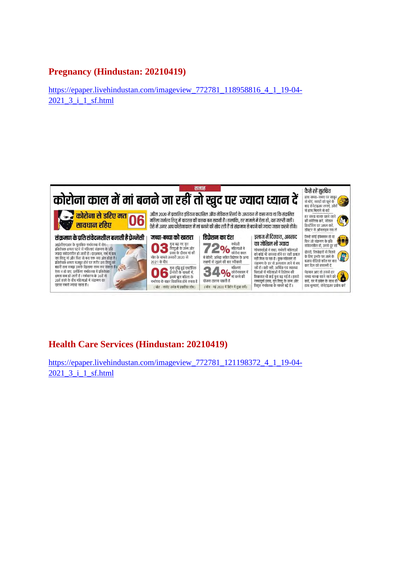# **Pregnancy (Hindustan: 20210419)**

https://epaper.livehindustan.com/imageview\_772781\_118958816\_4\_1\_19-04- 2021\_3\_i\_1\_sf.html



# **Health Care Services (Hindustan: 20210419)**

https://epaper.livehindustan.com/imageview\_772781\_121198372\_4\_1\_19-04- 2021\_3\_i\_1\_sf.html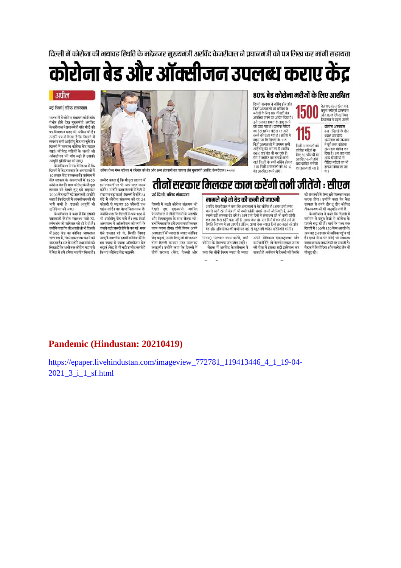दिल्ली में कोरोना की भयावह स्थिति के मद्देनजर मुख्यमंत्री अरविंद केजरीवाल ने प्रधानमंत्री को पत्र लिख कर मांगी सहायता

कोरोना बेड और ऑक्सीजन उपलब्ध कराए केंद्र

#### | अपील

#### नई दिल्ली | वरिष्ट संवाददाता

.<br>राजधानी में कोरोना संक्रमण की स्थिति गंभीर होते देख मुख्यमंत्री अरविंद केजरीवाल ने प्रधानमंत्री नरेंद्र मोदी को मन लिखकर मदद की अपील की है।<br>उन्होंने पत्र में लिखा है कि दिल्ली में उन्होंने के लिख हैं।<br>लगभग सभी आईसीयू बेड भर चुके हैं।<br>दिल्ली में तत्काल कोरोना बेड बढाए जाएं। कोविड मरीजों के चलते जो ऑक्सीजन की मांग बढ़ी है उसकी आपूर्ति सुनिश्चित की जाए।

.<br>केजरीवाल ने पत्र में लिखा है कि दिल्ली में केंद्र सरकार के अस्पतालों में .<br>10 हजार बेड उपलब्ध हैं। वर्तमान में<br>केंद्र सरकार के अस्पतालों में 1800 कोरोना बेड हैं। मगर कोरोना के मौजूदा हालात को देखते हुए इसे बढ़ाकर -<br>7000 बेड करने की जरूरत है। उन्होंने<br>कहा है कि दिल्ली में ऑक्सीजन की भी भारी कमी है। उसकी आपूर्ति भी सुनिश्चित की जाए।

.<br>केजरीवाल ने कहा है कि इसकी जानकारी केंद्रीय स्वास्थ्य मंत्री डॉ. हर्षवर्धन को शनिवार को ही दे दी है। उन्होंने कहा कि डीआरडीओ भी दिल्ली में 500 बेड का कोविड अस्पताल चला रहा है, जिसे एक हजार करने की जरूरत है। अंत में उन्होंने प्रधानमंत्री को लिखा है कि अभी तक कोरोना महामारी में केंद्र से हमें हमेशा सहयोग मिला है।



कॉमन वेल्थ गेम्स परिसर में रविवार को बेड और अन्य इंतजामों का जायजा लेते मुख्यमंत्री अरविंद केजरीवाल। • एजेंसी

.<br>ली में बढ़ते कोरोना संक्रमण को

देखते हुए मुख्यमंत्री अरविंद<br>केजरीवालनेतीनों निगमों के महापौर

और निगमायुक्त के साथ बैठक की।

उन्होंने कहा कि हमें इस समय मिलकर

काम करना होगा। तीनों निगम अपने

अस्पतालों में ज्यादा से ज्यादा कोविड

बेड बढाएं। उसके लिए जो भी जरूरत

होगी दिल्ली सरकार मदद उपलब्ध

कराएगी। उन्होंने कहा कि दिल्ली में

तीनों सरकार (केंद्र, दिल्ली और

#### ८०% बेड कोरोना मरीजों के लिए आरक्षित

दिल्ली सरकार ने नर्सिंग होम और निजी अस्पतालों को कोविड के न्नराजी के लिए 80 फीसदी बैंड<br>मरीजों के लिए 80 फीसदी बैंड<br>आरक्षित करने का आदेश दिया है । IJUU जारावारी के देश की आपसी प्रकार<br>इसे तत्काल प्रभाव से लागू करने<br>को कहा गया है। कोरोना मरीजों<br>का डेटा प्रबंधन पोर्टल पर जारी 115 करने को कहा गया है। आदेश में .<br>कहा गया कि दिल्ली के 115 कहा गया।के ख़िल्ला के गाउँ<br>निजी अस्पतालों में लगभग सभी निजी अस्पतालों को आईसीयू बेड भर गए हैं । करीब<br>90% वार्ड बेड भी भर चुके हैं । कोविड मरीजों के निए 80 फीसदी बेड<br>आरक्षित करने होंगे। ऐसे में कोविड का इलाज करने वाले दिल्ली के सभी नर्सिंग होम व यहां कोविड मरीजों ११५ मिली अस्पतालों को ८० % का इलाज हो रहा है ब्रेड आरक्षित करने होंगे।

.<br>बेड राष्ट्रमंडल खेल गांव, च्छना स्पोट्स कॉप्लेक्स<br>यमुना स्पोट्स कॉप्लेक्स<br>और राउज ऐवेन्यू स्थित कोरोना अस्पताल<br>बना : दिल्ली के दीन दशाल उपाध्याय अस्पताल को सरकार ने पुरी तरह कोरोना अस्पताल घोषित कर दिया है। अब तक यहां अन्य बीमारियों से पीडित मरीजों का भी इलाज किया जा रहा **9TT** 

#### तीनों सरकार मिलकर काम करेंगी तभी जीतेंगे : सीएम नई दिल्ली | वरिष्ट संवाददाता

मामले बढ़े तो बेड की कमी हो जाएगी अरविंद केजरीवाल ने कहा कि अस्पतालों में बेड सीमित हैं। अगर इसी तरह मामले बढ़ते रहे तो ब्रेड की भी कमी पड़ेगी। हमारे सामने जो स्थिति है. उसमें - गानने कही रामस्या बैड की है । आने वाले दिनों में संसाधनों की भी कभी पड़ेगी ।<br>कब तक केस बढ़ेंगे पता नहीं है । अगर केस दो-चार दिनों में कम होने लगे तो रिशति नियंत्रण में आ जाएगी। लेकिन, अगर केस ज्यादा दिनों तक बढ़ते रहे और .<br>बेड और ऑक्सीजन की कमी पड़ गई, तो बहुत की कठिन परिस्थिति बनेगी।

निगम) मिलकर काम करेंगे. तभी कोरोना के खिलाफ जंग जीत पाएंगे। बैठक में अरविंद केजरीवाल ने कहा कि तीनों निगम ज्यादा से ज्यादा

अपने मेडिकल इंफ़ास्ट्रक्चर और कर्मचारी देंगे. तो दिल्ली सरकार जनता की सेवा में इसका सही इस्तेमाल कर सकती है। वर्तमान में दिल्ली की स्थिति

को संभालने के लिए हमें मिलकर काम करना होगा। उन्होंने कहा कि केंद्र ......<br>सरकार से हमने डोर दू डोर कोविड

टीकाकरण की भी अनुमति मांगी है।<br>-<br>केजरीवाल ने कहा कि दिल्ली में वर्तमान में बहुत तेजी से कोरोना के .<br>मामले बढ़ रहे हैं। मार्च के मध्य तक दिल्ली में 100 से 150 केस आ रहे थे।<br>अब यह 24 हजार से अधिक पहुंच गई है। इतने केस पर कोई भी स्वास्थ्य -<br>व्यवस्था कब तक टिकी रह सकती है। बैठक में सिसोदिया और सत्येंद्र जैन भी मौजूद रहे।

#### Pandemic (Hindustan: 20210419)

उम्मीद करता हूं कि मौजूदा हालात में

-<br>इन जरूरतों पर भी आप मदद जरूर<br>करेंगे। उन्होंने कहा दिल्ली में तेजी से

संक्रमण बढ़ रहा है। दिल्ली में बीते 24

घंटे में कोरोना संक्रमण की दर 24

फीसदी से बढ़कर 30 फीसदी तक

पहुंच गई है। यह बेहद चिंताजनक है।

उन्होंने कहा कि दिल्ली में अब 100 से

भी आईसीयू बेड बचे हैं। एक निजी

अस्पताल में ऑक्सीजन की कमी के

चलते बढी त्रासदी होने से बच गई। मगर

पेसे हालात रहे थे, स्थिति बिगड़

जाएगी। हालांकि हमारी कोशिश है कि

हम ज्यादा से ज्यादा ऑक्सीजन बेड

बढ़ाएं। केंद्र से भी यही उम्मीद करते हैं

कि वह कोविड बेड बढाएंगे।

https://epaper.livehindustan.com/imageview\_772781\_119413446\_4\_1\_19-04-2021 3 i 1 sf.html